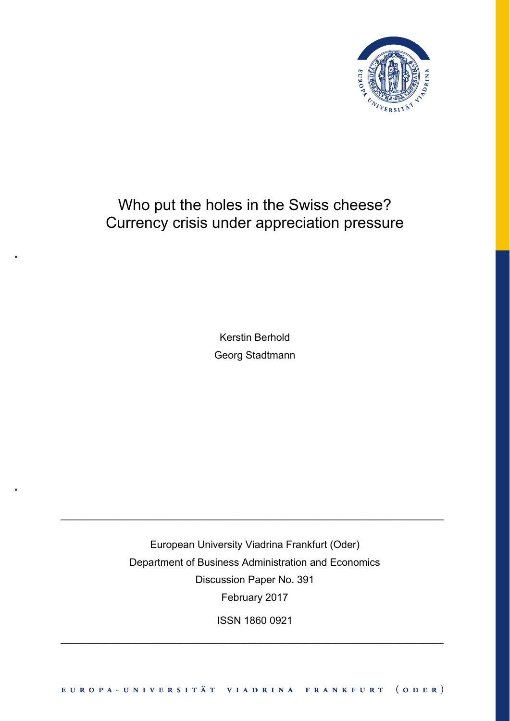

# Who put the holes in the Swiss cheese? Currency crisis under appreciation pressure

Kerstin Berhold Georg Stadtmann

European University Viadrina Frankfurt (Oder) Department of Business Administration and Economics Discussion Paper No. 391 February 2017

\_\_\_\_\_\_\_\_\_\_\_\_\_\_\_\_\_\_\_\_\_\_\_\_\_\_\_\_\_\_\_\_\_\_\_\_\_\_\_\_\_\_\_\_\_\_\_\_\_\_\_\_\_\_\_\_\_\_\_\_\_\_\_\_\_\_\_

ISSN 1860 0921

\_\_\_\_\_\_\_\_\_\_\_\_\_\_\_\_\_\_\_\_\_\_\_\_\_\_\_\_\_\_\_\_\_\_\_\_\_\_\_\_\_\_\_\_\_\_\_\_\_\_\_\_\_\_\_\_\_\_\_\_\_\_\_\_\_\_\_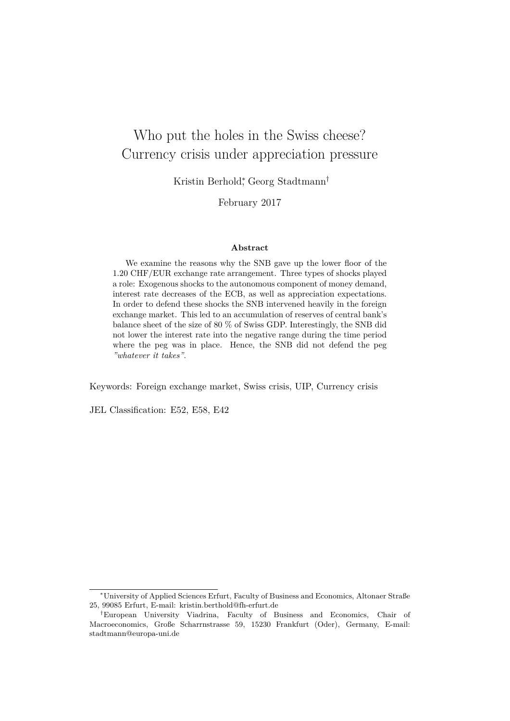## Who put the holes in the Swiss cheese? Currency crisis under appreciation pressure

Kristin Berhold<sup>∗</sup> , Georg Stadtmann†

February 2017

#### **Abstract**

We examine the reasons why the SNB gave up the lower floor of the 1.20 CHF/EUR exchange rate arrangement. Three types of shocks played a role: Exogenous shocks to the autonomous component of money demand, interest rate decreases of the ECB, as well as appreciation expectations. In order to defend these shocks the SNB intervened heavily in the foreign exchange market. This led to an accumulation of reserves of central bank's balance sheet of the size of 80 % of Swiss GDP. Interestingly, the SNB did not lower the interest rate into the negative range during the time period where the peg was in place. Hence, the SNB did not defend the peg *"whatever it takes"*.

Keywords: Foreign exchange market, Swiss crisis, UIP, Currency crisis

JEL Classification: E52, E58, E42

<sup>∗</sup>University of Applied Sciences Erfurt, Faculty of Business and Economics, Altonaer Straße 25, 99085 Erfurt, E-mail: kristin.berthold@fh-erfurt.de

<sup>†</sup>European University Viadrina, Faculty of Business and Economics, Chair of Macroeconomics, Große Scharrnstrasse 59, 15230 Frankfurt (Oder), Germany, E-mail: stadtmann@europa-uni.de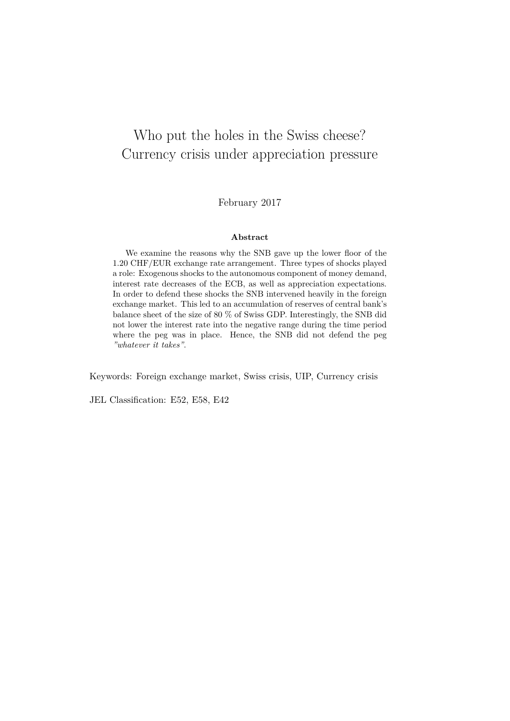## Who put the holes in the Swiss cheese? Currency crisis under appreciation pressure

February 2017

#### **Abstract**

We examine the reasons why the SNB gave up the lower floor of the 1.20 CHF/EUR exchange rate arrangement. Three types of shocks played a role: Exogenous shocks to the autonomous component of money demand, interest rate decreases of the ECB, as well as appreciation expectations. In order to defend these shocks the SNB intervened heavily in the foreign exchange market. This led to an accumulation of reserves of central bank's balance sheet of the size of 80 % of Swiss GDP. Interestingly, the SNB did not lower the interest rate into the negative range during the time period where the peg was in place. Hence, the SNB did not defend the peg *"whatever it takes"*.

Keywords: Foreign exchange market, Swiss crisis, UIP, Currency crisis

JEL Classification: E52, E58, E42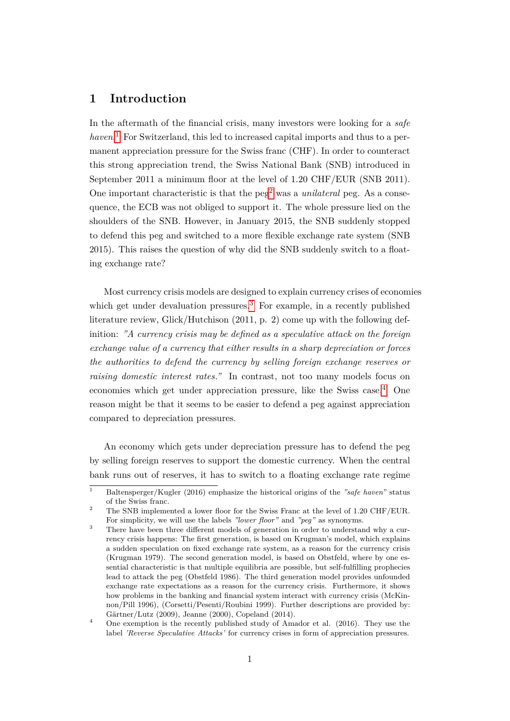## **1 Introduction**

In the aftermath of the financial crisis, many investors were looking for a *safe haven*. [1](#page-3-0) For Switzerland, this led to increased capital imports and thus to a permanent appreciation pressure for the Swiss franc (CHF). In order to counteract this strong appreciation trend, the Swiss National Bank (SNB) introduced in September 2011 a minimum floor at the level of 1.20 CHF/EUR (SNB 2011). One important characteristic is that the peg<sup>[2](#page-3-1)</sup> was a *unilateral* peg. As a consequence, the ECB was not obliged to support it. The whole pressure lied on the shoulders of the SNB. However, in January 2015, the SNB suddenly stopped to defend this peg and switched to a more flexible exchange rate system (SNB 2015). This raises the question of why did the SNB suddenly switch to a floating exchange rate?

Most currency crisis models are designed to explain currency crises of economies which get under devaluation pressures.<sup>[3](#page-3-2)</sup> For example, in a recently published literature review, Glick/Hutchison (2011, p. 2) come up with the following definition: *"A currency crisis may be defined as a speculative attack on the foreign exchange value of a currency that either results in a sharp depreciation or forces the authorities to defend the currency by selling foreign exchange reserves or raising domestic interest rates."* In contrast, not too many models focus on economies which get under appreciation pressure, like the Swiss case.[4](#page-3-3) One reason might be that it seems to be easier to defend a peg against appreciation compared to depreciation pressures.

An economy which gets under depreciation pressure has to defend the peg by selling foreign reserves to support the domestic currency. When the central bank runs out of reserves, it has to switch to a floating exchange rate regime

<span id="page-3-0"></span><sup>1</sup> Baltensperger/Kugler (2016) emphasize the historical origins of the *"safe haven"* status of the Swiss franc.

<span id="page-3-1"></span><sup>&</sup>lt;sup>2</sup> The SNB implemented a lower floor for the Swiss Franc at the level of 1.20 CHF/EUR. For simplicity, we will use the labels *"lower floor"* and *"peg"* as synonyms.

<span id="page-3-2"></span><sup>&</sup>lt;sup>3</sup> There have been three different models of generation in order to understand why a currency crisis happens: The first generation, is based on Krugman's model, which explains a sudden speculation on fixed exchange rate system, as a reason for the currency crisis (Krugman 1979). The second generation model, is based on Obstfeld, where by one essential characteristic is that multiple equilibria are possible, but self-fulfilling prophecies lead to attack the peg (Obstfeld 1986). The third generation model provides unfounded exchange rate expectations as a reason for the currency crisis. Furthermore, it shows how problems in the banking and financial system interact with currency crisis (McKinnon/Pill 1996), (Corsetti/Pesenti/Roubini 1999). Further descriptions are provided by: Gärtner/Lutz (2009), Jeanne (2000), Copeland (2014).

<span id="page-3-3"></span><sup>&</sup>lt;sup>4</sup> One exemption is the recently published study of Amador et al. (2016). They use the label *'Reverse Speculative Attacks'* for currency crises in form of appreciation pressures.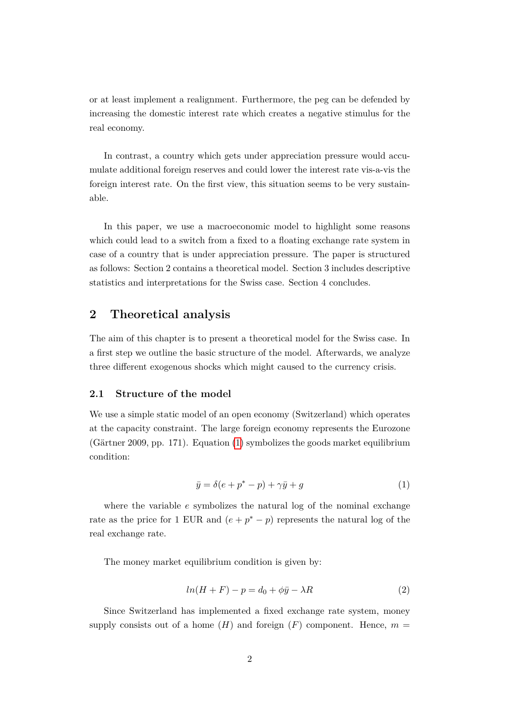or at least implement a realignment. Furthermore, the peg can be defended by increasing the domestic interest rate which creates a negative stimulus for the real economy.

In contrast, a country which gets under appreciation pressure would accumulate additional foreign reserves and could lower the interest rate vis-a-vis the foreign interest rate. On the first view, this situation seems to be very sustainable.

In this paper, we use a macroeconomic model to highlight some reasons which could lead to a switch from a fixed to a floating exchange rate system in case of a country that is under appreciation pressure. The paper is structured as follows: Section 2 contains a theoretical model. Section 3 includes descriptive statistics and interpretations for the Swiss case. Section 4 concludes.

## **2 Theoretical analysis**

The aim of this chapter is to present a theoretical model for the Swiss case. In a first step we outline the basic structure of the model. Afterwards, we analyze three different exogenous shocks which might caused to the currency crisis.

#### **2.1 Structure of the model**

We use a simple static model of an open economy (Switzerland) which operates at the capacity constraint. The large foreign economy represents the Eurozone (Gärtner 2009, pp. 171). Equation [\(1\)](#page-4-0) symbolizes the goods market equilibrium condition:

<span id="page-4-0"></span>
$$
\bar{y} = \delta(e + p^* - p) + \gamma \bar{y} + g \tag{1}
$$

where the variable *e* symbolizes the natural log of the nominal exchange rate as the price for 1 EUR and  $(e + p^* - p)$  represents the natural log of the real exchange rate.

The money market equilibrium condition is given by:

<span id="page-4-1"></span>
$$
ln(H+F) - p = d_0 + \phi \bar{y} - \lambda R \tag{2}
$$

Since Switzerland has implemented a fixed exchange rate system, money supply consists out of a home  $(H)$  and foreign  $(F)$  component. Hence,  $m =$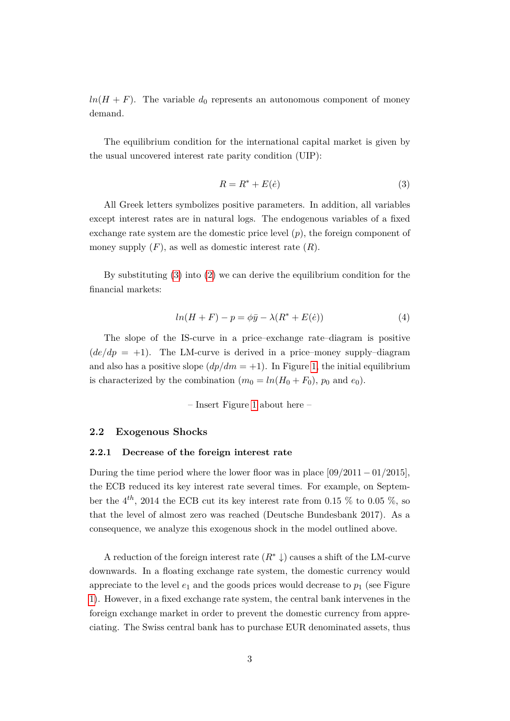$ln(H + F)$ . The variable  $d_0$  represents an autonomous component of money demand.

The equilibrium condition for the international capital market is given by the usual uncovered interest rate parity condition (UIP):

<span id="page-5-0"></span>
$$
R = R^* + E(\dot{e})\tag{3}
$$

All Greek letters symbolizes positive parameters. In addition, all variables except interest rates are in natural logs. The endogenous variables of a fixed exchange rate system are the domestic price level (*p*), the foreign component of money supply  $(F)$ , as well as domestic interest rate  $(R)$ .

By substituting [\(3\)](#page-5-0) into [\(2\)](#page-4-1) we can derive the equilibrium condition for the financial markets:

$$
ln(H+F) - p = \phi\bar{y} - \lambda(R^* + E(\dot{e}))
$$
\n(4)

The slope of the IS-curve in a price–exchange rate–diagram is positive  $(de/dp = +1)$ . The LM-curve is derived in a price–money supply–diagram and also has a positive slope  $(dp/dm = +1)$ . In Figure [1,](#page-17-0) the initial equilibrium is characterized by the combination  $(m_0 = ln(H_0 + F_0))$ ,  $p_0$  and  $e_0$ ).

– Insert Figure [1](#page-17-0) about here –

#### **2.2 Exogenous Shocks**

#### **2.2.1 Decrease of the foreign interest rate**

During the time period where the lower floor was in place [09*/*2011 − 01*/*2015], the ECB reduced its key interest rate several times. For example, on September the  $4^{th}$ , 2014 the ECB cut its key interest rate from 0.15 % to 0.05 %, so that the level of almost zero was reached (Deutsche Bundesbank 2017). As a consequence, we analyze this exogenous shock in the model outlined above.

A reduction of the foreign interest rate  $(R^* \downarrow)$  causes a shift of the LM-curve downwards. In a floating exchange rate system, the domestic currency would appreciate to the level  $e_1$  and the goods prices would decrease to  $p_1$  (see Figure [1\)](#page-17-0). However, in a fixed exchange rate system, the central bank intervenes in the foreign exchange market in order to prevent the domestic currency from appreciating. The Swiss central bank has to purchase EUR denominated assets, thus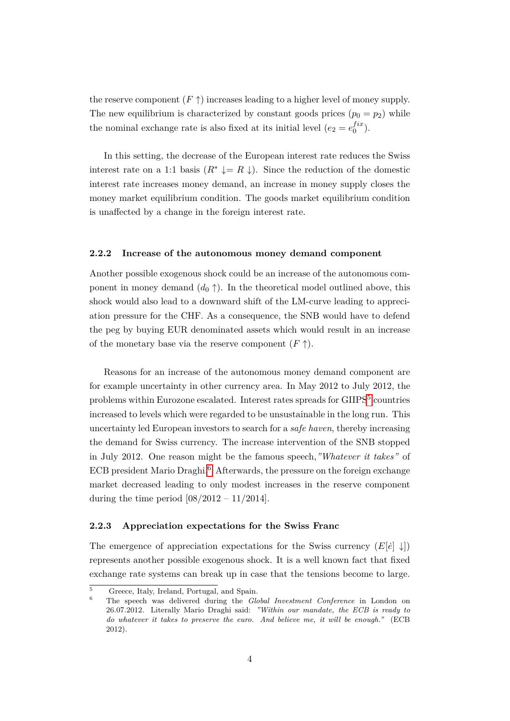the reserve component  $(F \uparrow)$  increases leading to a higher level of money supply. The new equilibrium is characterized by constant goods prices  $(p_0 = p_2)$  while the nominal exchange rate is also fixed at its initial level  $(e_2 = e_0^{fix})$ .

In this setting, the decrease of the European interest rate reduces the Swiss interest rate on a 1:1 basis  $(R^* \downarrow = R \downarrow)$ . Since the reduction of the domestic interest rate increases money demand, an increase in money supply closes the money market equilibrium condition. The goods market equilibrium condition is unaffected by a change in the foreign interest rate.

#### **2.2.2 Increase of the autonomous money demand component**

Another possible exogenous shock could be an increase of the autonomous component in money demand  $(d_0 \uparrow)$ . In the theoretical model outlined above, this shock would also lead to a downward shift of the LM-curve leading to appreciation pressure for the CHF. As a consequence, the SNB would have to defend the peg by buying EUR denominated assets which would result in an increase of the monetary base via the reserve component  $(F \uparrow)$ .

Reasons for an increase of the autonomous money demand component are for example uncertainty in other currency area. In May 2012 to July 2012, the problems within Eurozone escalated. Interest rates spreads for GIIPS<sup>[5](#page-6-0)</sup> countries increased to levels which were regarded to be unsustainable in the long run. This uncertainty led European investors to search for a *safe haven*, thereby increasing the demand for Swiss currency. The increase intervention of the SNB stopped in July 2012. One reason might be the famous speech,*"Whatever it takes"* of ECB president Mario Draghi.<sup>[6](#page-6-1)</sup> Afterwards, the pressure on the foreign exchange market decreased leading to only modest increases in the reserve component during the time period  $[08/2012 - 11/2014]$ .

#### **2.2.3 Appreciation expectations for the Swiss Franc**

The emergence of appreciation expectations for the Swiss currency  $(E[\dot{e}] \downarrow)$ represents another possible exogenous shock. It is a well known fact that fixed exchange rate systems can break up in case that the tensions become to large.

<span id="page-6-0"></span><sup>5</sup> Greece, Italy, Ireland, Portugal, and Spain.

<span id="page-6-1"></span><sup>6</sup> The speech was delivered during the *Global Investment Conference* in London on 26.07.2012. Literally Mario Draghi said: *"Within our mandate, the ECB is ready to do whatever it takes to preserve the euro. And believe me, it will be enough."* (ECB 2012).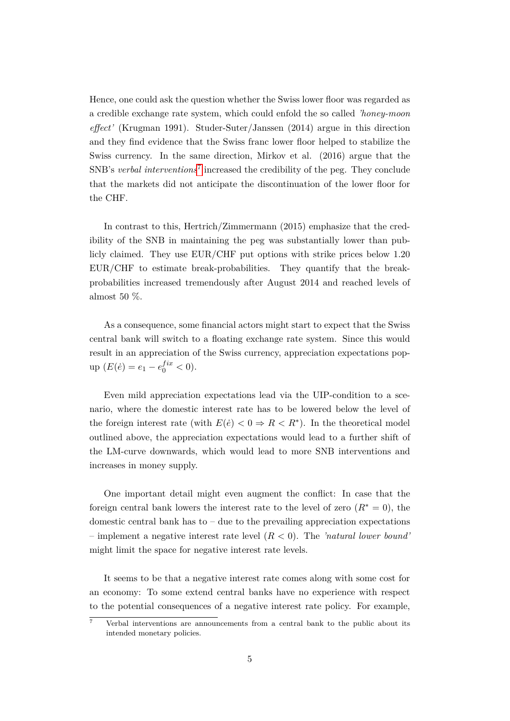Hence, one could ask the question whether the Swiss lower floor was regarded as a credible exchange rate system, which could enfold the so called *'honey-moon effect'* (Krugman 1991). Studer-Suter/Janssen (2014) argue in this direction and they find evidence that the Swiss franc lower floor helped to stabilize the Swiss currency. In the same direction, Mirkov et al. (2016) argue that the SNB's *verbal interventions*[7](#page-7-0) increased the credibility of the peg. They conclude that the markets did not anticipate the discontinuation of the lower floor for the CHF.

In contrast to this, Hertrich/Zimmermann (2015) emphasize that the credibility of the SNB in maintaining the peg was substantially lower than publicly claimed. They use EUR/CHF put options with strike prices below 1.20 EUR/CHF to estimate break-probabilities. They quantify that the breakprobabilities increased tremendously after August 2014 and reached levels of almost 50 %.

As a consequence, some financial actors might start to expect that the Swiss central bank will switch to a floating exchange rate system. Since this would result in an appreciation of the Swiss currency, appreciation expectations pop- $\text{up}(E(\dot{e}) = e_1 - e_0^{fix} < 0).$ 

Even mild appreciation expectations lead via the UIP-condition to a scenario, where the domestic interest rate has to be lowered below the level of the foreign interest rate (with  $E(\dot{e}) < 0 \Rightarrow R < R^*$ ). In the theoretical model outlined above, the appreciation expectations would lead to a further shift of the LM-curve downwards, which would lead to more SNB interventions and increases in money supply.

One important detail might even augment the conflict: In case that the foreign central bank lowers the interest rate to the level of zero  $(R^* = 0)$ , the domestic central bank has to – due to the prevailing appreciation expectations – implement a negative interest rate level (*R <* 0). The *'natural lower bound'* might limit the space for negative interest rate levels.

It seems to be that a negative interest rate comes along with some cost for an economy: To some extend central banks have no experience with respect to the potential consequences of a negative interest rate policy. For example,

<span id="page-7-0"></span> $\overline{7}$  Verbal interventions are announcements from a central bank to the public about its intended monetary policies.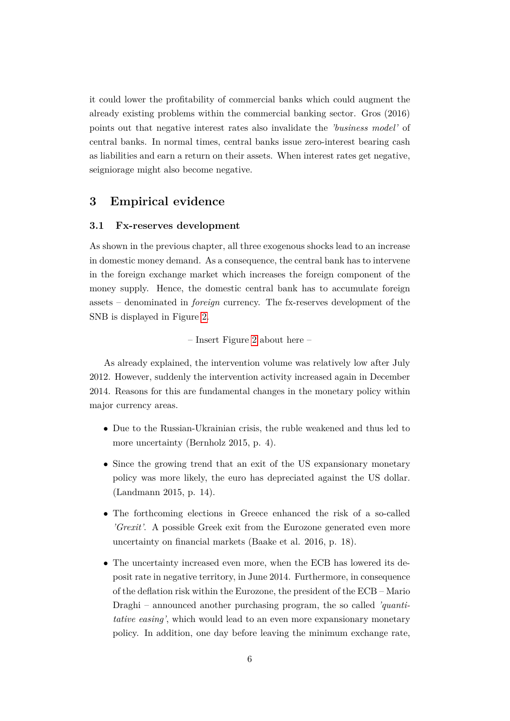it could lower the profitability of commercial banks which could augment the already existing problems within the commercial banking sector. Gros (2016) points out that negative interest rates also invalidate the *'business model'* of central banks. In normal times, central banks issue zero-interest bearing cash as liabilities and earn a return on their assets. When interest rates get negative, seigniorage might also become negative.

### **3 Empirical evidence**

#### **3.1 Fx-reserves development**

As shown in the previous chapter, all three exogenous shocks lead to an increase in domestic money demand. As a consequence, the central bank has to intervene in the foreign exchange market which increases the foreign component of the money supply. Hence, the domestic central bank has to accumulate foreign assets – denominated in *foreign* currency. The fx-reserves development of the SNB is displayed in Figure [2.](#page-18-0)

– Insert Figure [2](#page-18-0) about here –

As already explained, the intervention volume was relatively low after July 2012. However, suddenly the intervention activity increased again in December 2014. Reasons for this are fundamental changes in the monetary policy within major currency areas.

- Due to the Russian-Ukrainian crisis, the ruble weakened and thus led to more uncertainty (Bernholz 2015, p. 4).
- Since the growing trend that an exit of the US expansionary monetary policy was more likely, the euro has depreciated against the US dollar. (Landmann 2015, p. 14).
- The forthcoming elections in Greece enhanced the risk of a so-called *'Grexit'*. A possible Greek exit from the Eurozone generated even more uncertainty on financial markets (Baake et al. 2016, p. 18).
- The uncertainty increased even more, when the ECB has lowered its deposit rate in negative territory, in June 2014. Furthermore, in consequence of the deflation risk within the Eurozone, the president of the ECB – Mario Draghi – announced another purchasing program, the so called *'quantitative easing'*, which would lead to an even more expansionary monetary policy. In addition, one day before leaving the minimum exchange rate,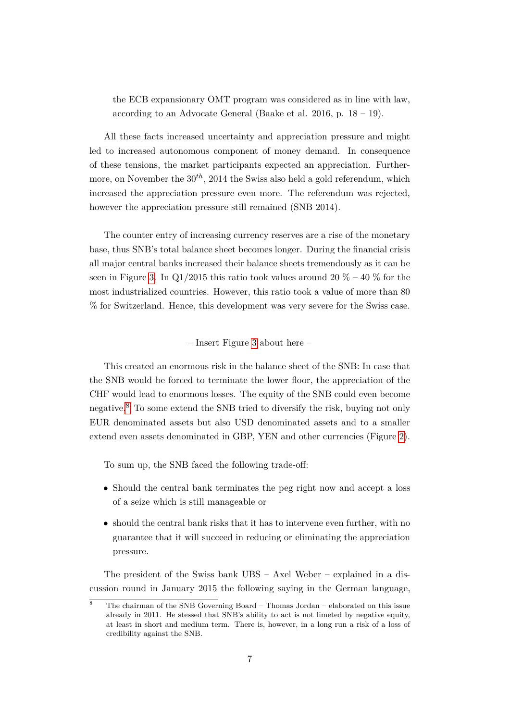the ECB expansionary OMT program was considered as in line with law, according to an Advocate General (Baake et al. 2016, p.  $18 - 19$ ).

All these facts increased uncertainty and appreciation pressure and might led to increased autonomous component of money demand. In consequence of these tensions, the market participants expected an appreciation. Furthermore, on November the  $30<sup>th</sup>$ , 2014 the Swiss also held a gold referendum, which increased the appreciation pressure even more. The referendum was rejected, however the appreciation pressure still remained (SNB 2014).

The counter entry of increasing currency reserves are a rise of the monetary base, thus SNB's total balance sheet becomes longer. During the financial crisis all major central banks increased their balance sheets tremendously as it can be seen in Figure [3.](#page-19-0) In Q1/2015 this ratio took values around 20  $\%$  – 40  $\%$  for the most industrialized countries. However, this ratio took a value of more than 80 % for Switzerland. Hence, this development was very severe for the Swiss case.

– Insert Figure [3](#page-19-0) about here –

This created an enormous risk in the balance sheet of the SNB: In case that the SNB would be forced to terminate the lower floor, the appreciation of the CHF would lead to enormous losses. The equity of the SNB could even become negative.[8](#page-9-0) To some extend the SNB tried to diversify the risk, buying not only EUR denominated assets but also USD denominated assets and to a smaller extend even assets denominated in GBP, YEN and other currencies (Figure [2\)](#page-18-0).

To sum up, the SNB faced the following trade-off:

- Should the central bank terminates the peg right now and accept a loss of a seize which is still manageable or
- should the central bank risks that it has to intervene even further, with no guarantee that it will succeed in reducing or eliminating the appreciation pressure.

The president of the Swiss bank UBS – Axel Weber – explained in a discussion round in January 2015 the following saying in the German language,

<span id="page-9-0"></span><sup>8</sup> The chairman of the SNB Governing Board – Thomas Jordan – elaborated on this issue already in 2011. He stessed that SNB's ability to act is not limeted by negative equity, at least in short and medium term. There is, however, in a long run a risk of a loss of credibility against the SNB.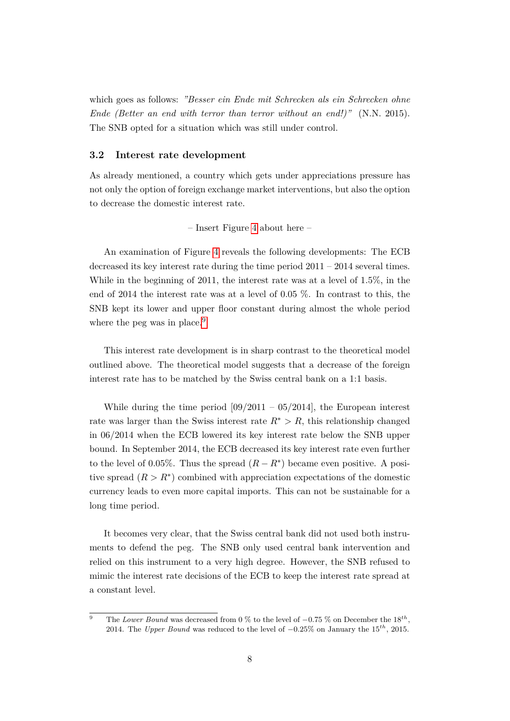which goes as follows: *"Besser ein Ende mit Schrecken als ein Schrecken ohne Ende (Better an end with terror than terror without an end!)"* (N.N. 2015). The SNB opted for a situation which was still under control.

#### **3.2 Interest rate development**

As already mentioned, a country which gets under appreciations pressure has not only the option of foreign exchange market interventions, but also the option to decrease the domestic interest rate.

#### – Insert Figure [4](#page-20-0) about here –

An examination of Figure [4](#page-20-0) reveals the following developments: The ECB decreased its key interest rate during the time period 2011 – 2014 several times. While in the beginning of 2011, the interest rate was at a level of 1.5%, in the end of 2014 the interest rate was at a level of 0.05 %. In contrast to this, the SNB kept its lower and upper floor constant during almost the whole period where the peg was in place.<sup>[9](#page-10-0)</sup>

This interest rate development is in sharp contrast to the theoretical model outlined above. The theoretical model suggests that a decrease of the foreign interest rate has to be matched by the Swiss central bank on a 1:1 basis.

While during the time period  $[09/2011 - 05/2014]$ , the European interest rate was larger than the Swiss interest rate  $R^* > R$ , this relationship changed in 06/2014 when the ECB lowered its key interest rate below the SNB upper bound. In September 2014, the ECB decreased its key interest rate even further to the level of 0.05%. Thus the spread  $(R - R^*)$  became even positive. A positive spread  $(R > R^*)$  combined with appreciation expectations of the domestic currency leads to even more capital imports. This can not be sustainable for a long time period.

It becomes very clear, that the Swiss central bank did not used both instruments to defend the peg. The SNB only used central bank intervention and relied on this instrument to a very high degree. However, the SNB refused to mimic the interest rate decisions of the ECB to keep the interest rate spread at a constant level.

<span id="page-10-0"></span><sup>&</sup>lt;sup>9</sup> The *Lower Bound* was decreased from 0 % to the level of −0.75 % on December the 18<sup>th</sup>, 2014. The *Upper Bound* was reduced to the level of −0*.*25% on January the 15*th*, 2015.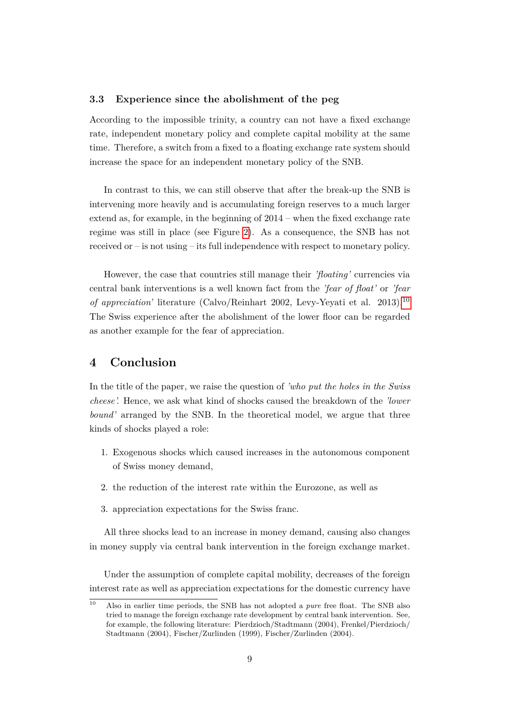#### **3.3 Experience since the abolishment of the peg**

According to the impossible trinity, a country can not have a fixed exchange rate, independent monetary policy and complete capital mobility at the same time. Therefore, a switch from a fixed to a floating exchange rate system should increase the space for an independent monetary policy of the SNB.

In contrast to this, we can still observe that after the break-up the SNB is intervening more heavily and is accumulating foreign reserves to a much larger extend as, for example, in the beginning of 2014 – when the fixed exchange rate regime was still in place (see Figure [2\)](#page-18-0). As a consequence, the SNB has not received or – is not using – its full independence with respect to monetary policy.

However, the case that countries still manage their *'floating'* currencies via central bank interventions is a well known fact from the *'fear of float'* or *'fear of appreciation'* literature (Calvo/Reinhart 2002, Levy-Yeyati et al. 2013).[10](#page-11-0) The Swiss experience after the abolishment of the lower floor can be regarded as another example for the fear of appreciation.

### **4 Conclusion**

In the title of the paper, we raise the question of *'who put the holes in the Swiss cheese'.* Hence, we ask what kind of shocks caused the breakdown of the *'lower bound'* arranged by the SNB. In the theoretical model, we argue that three kinds of shocks played a role:

- 1. Exogenous shocks which caused increases in the autonomous component of Swiss money demand,
- 2. the reduction of the interest rate within the Eurozone, as well as
- 3. appreciation expectations for the Swiss franc.

All three shocks lead to an increase in money demand, causing also changes in money supply via central bank intervention in the foreign exchange market.

Under the assumption of complete capital mobility, decreases of the foreign interest rate as well as appreciation expectations for the domestic currency have

<span id="page-11-0"></span><sup>10</sup> Also in earlier time periods, the SNB has not adopted a *pure* free float. The SNB also tried to manage the foreign exchange rate development by central bank intervention. See, for example, the following literature: Pierdzioch/Stadtmann (2004), Frenkel/Pierdzioch/ Stadtmann (2004), Fischer/Zurlinden (1999), Fischer/Zurlinden (2004).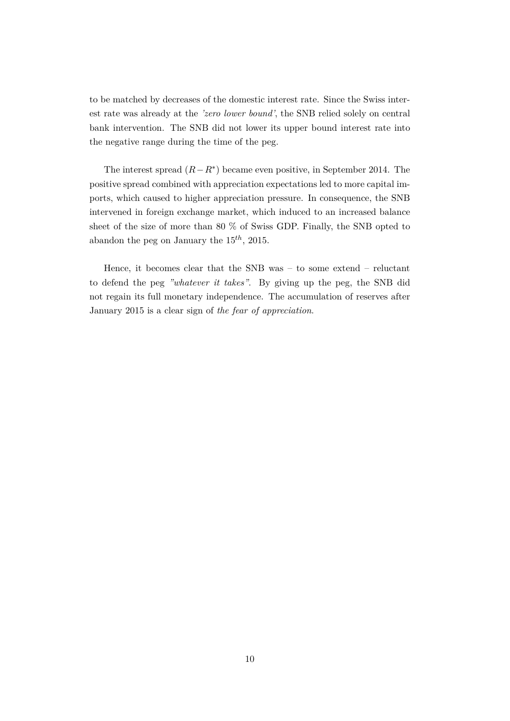to be matched by decreases of the domestic interest rate. Since the Swiss interest rate was already at the *'zero lower bound'*, the SNB relied solely on central bank intervention. The SNB did not lower its upper bound interest rate into the negative range during the time of the peg.

The interest spread  $(R - R^*)$  became even positive, in September 2014. The positive spread combined with appreciation expectations led to more capital imports, which caused to higher appreciation pressure. In consequence, the SNB intervened in foreign exchange market, which induced to an increased balance sheet of the size of more than 80 % of Swiss GDP. Finally, the SNB opted to abandon the peg on January the 15*th*, 2015.

Hence, it becomes clear that the SNB was – to some extend – reluctant to defend the peg *"whatever it takes"*. By giving up the peg, the SNB did not regain its full monetary independence. The accumulation of reserves after January 2015 is a clear sign of *the fear of appreciation*.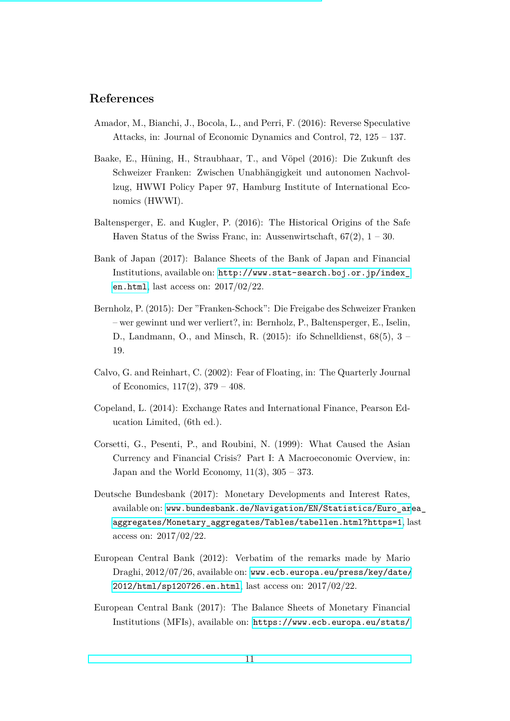## **References**

- Amador, M., Bianchi, J., Bocola, L., and Perri, F. (2016): Reverse Speculative Attacks, in: Journal of Economic Dynamics and Control, 72, 125 – 137.
- Baake, E., Hüning, H., Straubhaar, T., and Vöpel (2016): Die Zukunft des Schweizer Franken: Zwischen Unabhängigkeit und autonomen Nachvollzug, HWWI Policy Paper 97, Hamburg Institute of International Economics (HWWI).
- Baltensperger, E. and Kugler, P. (2016): The Historical Origins of the Safe Haven Status of the Swiss Franc, in: Aussenwirtschaft,  $67(2)$ ,  $1 - 30$ .
- Bank of Japan (2017): Balance Sheets of the Bank of Japan and Financial Institutions, available on: [http://www.stat-search.boj.or.jp/index\\_](http://www.stat-search.boj.or.jp/index_en.html) [en.html](http://www.stat-search.boj.or.jp/index_en.html), last access on: 2017/02/22.
- Bernholz, P. (2015): Der "Franken-Schock": Die Freigabe des Schweizer Franken – wer gewinnt und wer verliert?, in: Bernholz, P., Baltensperger, E., Iselin, D., Landmann, O., and Minsch, R.  $(2015)$ : ifo Schnelldienst,  $68(5)$ ,  $3 -$ 19.
- Calvo, G. and Reinhart, C. (2002): Fear of Floating, in: The Quarterly Journal of Economics,  $117(2)$ ,  $379 - 408$ .
- Copeland, L. (2014): Exchange Rates and International Finance, Pearson Education Limited, (6th ed.).
- Corsetti, G., Pesenti, P., and Roubini, N. (1999): What Caused the Asian Currency and Financial Crisis? Part I: A Macroeconomic Overview, in: Japan and the World Economy,  $11(3)$ ,  $305 - 373$ .
- Deutsche Bundesbank (2017): Monetary Developments and Interest Rates, available on: [www.bundesbank.de/Navigation/EN/Statistics/Euro\\_ar](www.bundesbank.de/Navigation/EN/Statistics/Euro_area_aggregates/Monetary_aggregates/Tables/tabellen.html?https=1)ea\_ [aggregates/Monetary\\_aggregates/Tables/tabellen.html?https=1](www.bundesbank.de/Navigation/EN/Statistics/Euro_area_aggregates/Monetary_aggregates/Tables/tabellen.html?https=1), last access on: 2017/02/22.
- European Central Bank (2012): Verbatim of the remarks made by Mario Draghi, 2012/07/26, available on: [www.ecb.europa.eu/press/key/date/](www.ecb.europa.eu/press/key/date/2012/html/sp120726.en.html) [2012/html/sp120726.en.html](www.ecb.europa.eu/press/key/date/2012/html/sp120726.en.html), last access on: 2017/02/22.
- European Central Bank (2017): The Balance Sheets of Monetary Financial Institutions (MFIs), available on: [https://www.ecb.europa.eu/stats/](https://www.ecb.europa.eu/stats/money_credit_banking/mfi_balance_sheets/html/index.en.html)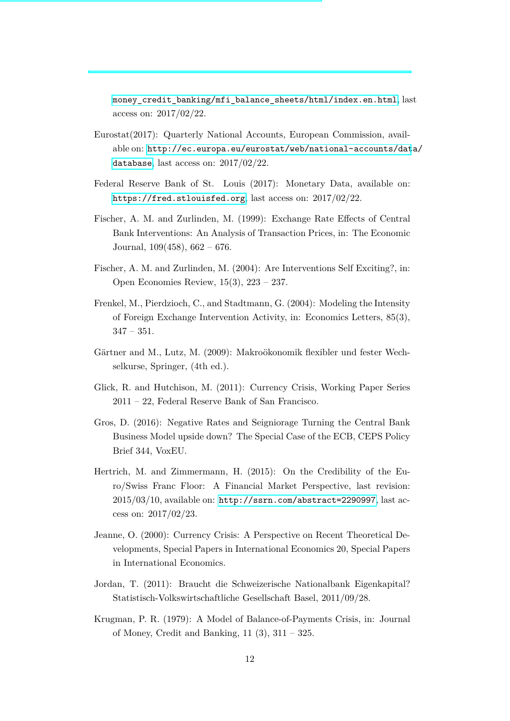[money\\_credit\\_banking/mfi\\_balance\\_sheets/html/index.en.html](https://www.ecb.europa.eu/stats/money_credit_banking/mfi_balance_sheets/html/index.en.html), last access on: 2017/02/22.

- Eurostat(2017): Quarterly National Accounts, European Commission, available on: [http://ec.europa.eu/eurostat/web/national-accounts/dat](http://ec.europa.eu/eurostat/web/national-accounts/data/database)a/ [database](http://ec.europa.eu/eurostat/web/national-accounts/data/database), last access on: 2017/02/22.
- Federal Reserve Bank of St. Louis (2017): Monetary Data, available on: <https://fred.stlouisfed.org>, last access on: 2017/02/22.
- Fischer, A. M. and Zurlinden, M. (1999): Exchange Rate Effects of Central Bank Interventions: An Analysis of Transaction Prices, in: The Economic Journal, 109(458), 662 – 676.
- Fischer, A. M. and Zurlinden, M. (2004): Are Interventions Self Exciting?, in: Open Economies Review, 15(3), 223 – 237.
- Frenkel, M., Pierdzioch, C., and Stadtmann, G. (2004): Modeling the Intensity of Foreign Exchange Intervention Activity, in: Economics Letters, 85(3),  $347 - 351.$
- Gärtner and M., Lutz, M. (2009): Makroökonomik flexibler und fester Wechselkurse, Springer, (4th ed.).
- Glick, R. and Hutchison, M. (2011): Currency Crisis, Working Paper Series 2011 – 22, Federal Reserve Bank of San Francisco.
- Gros, D. (2016): Negative Rates and Seigniorage Turning the Central Bank Business Model upside down? The Special Case of the ECB, CEPS Policy Brief 344, VoxEU.
- Hertrich, M. and Zimmermann, H. (2015): On the Credibility of the Euro/Swiss Franc Floor: A Financial Market Perspective, last revision: 2015/03/10, available on: <http://ssrn.com/abstract=2290997>, last access on: 2017/02/23.
- Jeanne, O. (2000): Currency Crisis: A Perspective on Recent Theoretical Developments, Special Papers in International Economics 20, Special Papers in International Economics.
- Jordan, T. (2011): Braucht die Schweizerische Nationalbank Eigenkapital? Statistisch-Volkswirtschaftliche Gesellschaft Basel, 2011/09/28.
- Krugman, P. R. (1979): A Model of Balance-of-Payments Crisis, in: Journal of Money, Credit and Banking, 11 (3), 311 – 325.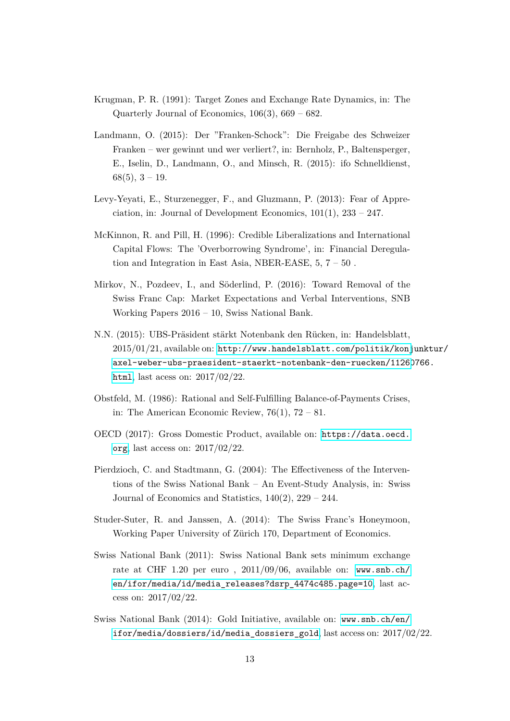- Krugman, P. R. (1991): Target Zones and Exchange Rate Dynamics, in: The Quarterly Journal of Economics, 106(3), 669 – 682.
- Landmann, O. (2015): Der "Franken-Schock": Die Freigabe des Schweizer Franken – wer gewinnt und wer verliert?, in: Bernholz, P., Baltensperger, E., Iselin, D., Landmann, O., and Minsch, R. (2015): ifo Schnelldienst, 68(5), 3 – 19.
- Levy-Yeyati, E., Sturzenegger, F., and Gluzmann, P. (2013): Fear of Appreciation, in: Journal of Development Economics,  $101(1)$ ,  $233 - 247$ .
- McKinnon, R. and Pill, H. (1996): Credible Liberalizations and International Capital Flows: The 'Overborrowing Syndrome', in: Financial Deregulation and Integration in East Asia, NBER-EASE, 5, 7 – 50 .
- Mirkov, N., Pozdeev, I., and Söderlind, P. (2016): Toward Removal of the Swiss Franc Cap: Market Expectations and Verbal Interventions, SNB Working Papers 2016 – 10, Swiss National Bank.
- N.N. (2015): UBS-Präsident stärkt Notenbank den Rücken, in: Handelsblatt, 2015/01/21, available on: [http://www.handelsblatt.com/politik/konj](http://www.handelsblatt.com /politik/konjunktur/axel-weber-ubs-praesident-staerkt-notenbank-den-ruecken/11260766.html)unktur/ [axel-weber-ubs-praesident-staerkt-notenbank-den-ruecken/11260](http://www.handelsblatt.com /politik/konjunktur/axel-weber-ubs-praesident-staerkt-notenbank-den-ruecken/11260766.html)766. [html](http://www.handelsblatt.com /politik/konjunktur/axel-weber-ubs-praesident-staerkt-notenbank-den-ruecken/11260766.html), last acess on: 2017/02/22.
- Obstfeld, M. (1986): Rational and Self-Fulfilling Balance-of-Payments Crises, in: The American Economic Review,  $76(1)$ ,  $72 - 81$ .
- OECD (2017): Gross Domestic Product, available on: [https://data.oecd.](https://data.oecd.org) [org](https://data.oecd.org), last access on: 2017/02/22.
- Pierdzioch, C. and Stadtmann, G. (2004): The Effectiveness of the Interventions of the Swiss National Bank – An Event-Study Analysis, in: Swiss Journal of Economics and Statistics,  $140(2)$ ,  $229 - 244$ .
- Studer-Suter, R. and Janssen, A. (2014): The Swiss Franc's Honeymoon, Working Paper University of Zürich 170, Department of Economics.
- Swiss National Bank (2011): Swiss National Bank sets minimum exchange rate at CHF 1.20 per euro , 2011/09/06, available on: [www.snb.ch/](www.snb.ch/en/ifor/media/id/media_releases?dsrp_4474c485.page=10) [en/ifor/media/id/media\\_releases?dsrp\\_4474c485.page=10](www.snb.ch/en/ifor/media/id/media_releases?dsrp_4474c485.page=10), last access on: 2017/02/22.
- Swiss National Bank (2014): Gold Initiative, available on: [www.snb.ch/en/](www.snb.ch/en/ifor/media/dossiers/id/media_dossiers_gold) [ifor/media/dossiers/id/media\\_dossiers\\_gold](www.snb.ch/en/ifor/media/dossiers/id/media_dossiers_gold), last access on: 2017/02/22.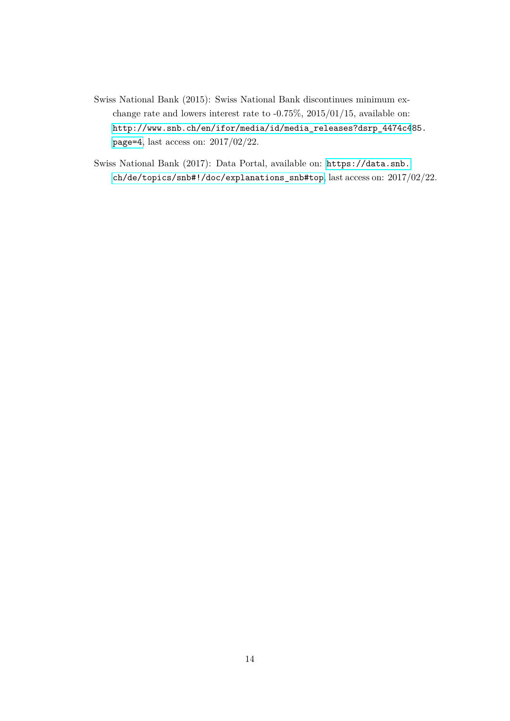- Swiss National Bank (2015): Swiss National Bank discontinues minimum exchange rate and lowers interest rate to -0.75%, 2015/01/15, available on: [http://www.snb.ch/en/ifor/media/id/media\\_releases?dsrp\\_4474c4](http://www.snb.ch/en/ifor/media/id/media_releases?dsrp_4474c485.page=4)85. [page=4](http://www.snb.ch/en/ifor/media/id/media_releases?dsrp_4474c485.page=4), last access on: 2017/02/22.
- Swiss National Bank (2017): Data Portal, available on: [https://data.snb.](https://data.snb.ch/de/topics/snb#!/doc/explanations_snb#top) [ch/de/topics/snb#!/doc/explanations\\_snb#top](https://data.snb.ch/de/topics/snb#!/doc/explanations_snb#top), last access on: 2017/02/22.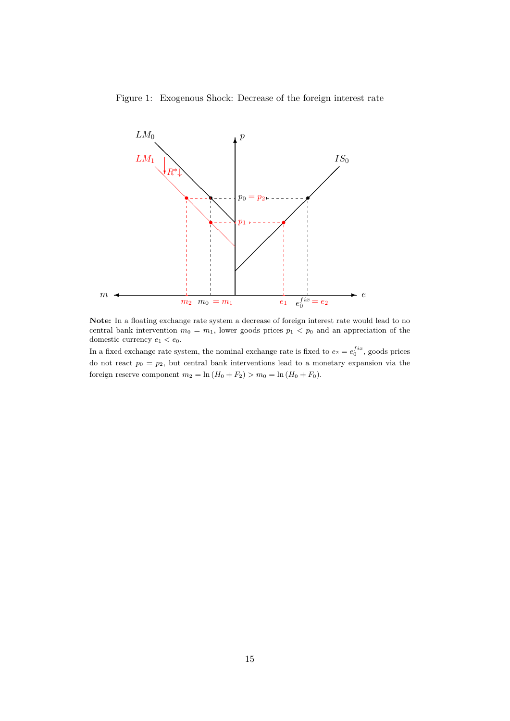<span id="page-17-0"></span>Figure 1: Exogenous Shock: Decrease of the foreign interest rate



**Note:** In a floating exchange rate system a decrease of foreign interest rate would lead to no central bank intervention  $m_0 = m_1$ , lower goods prices  $p_1 < p_0$  and an appreciation of the domestic currency  $e_1 < e_0$ .

In a fixed exchange rate system, the nominal exchange rate is fixed to  $e_2 = e_0^{fix}$ , goods prices do not react  $p_0 = p_2$ , but central bank interventions lead to a monetary expansion via the foreign reserve component  $m_2 = \ln(H_0 + F_2) > m_0 = \ln(H_0 + F_0)$ .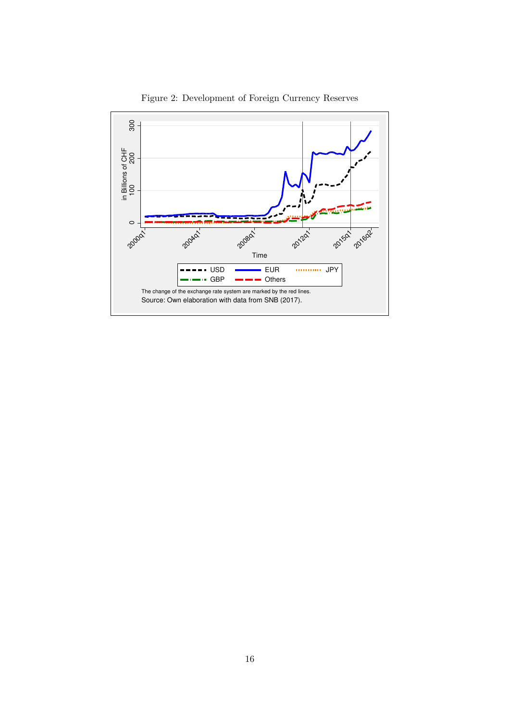<span id="page-18-0"></span>

Figure 2: Development of Foreign Currency Reserves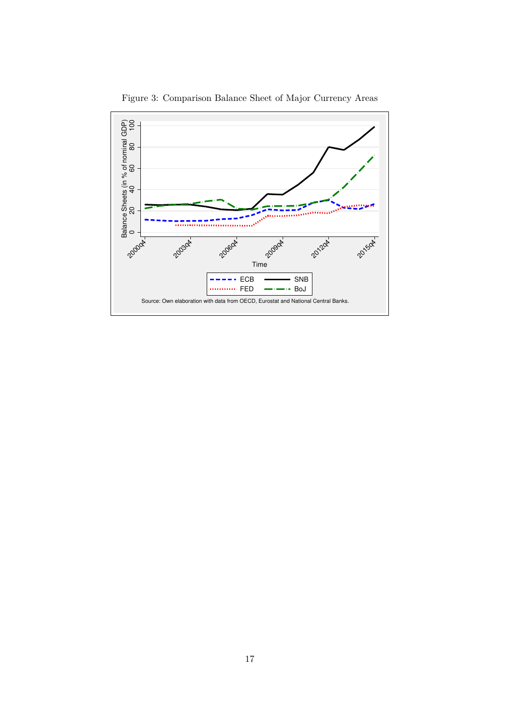<span id="page-19-0"></span>

Figure 3: Comparison Balance Sheet of Major Currency Areas